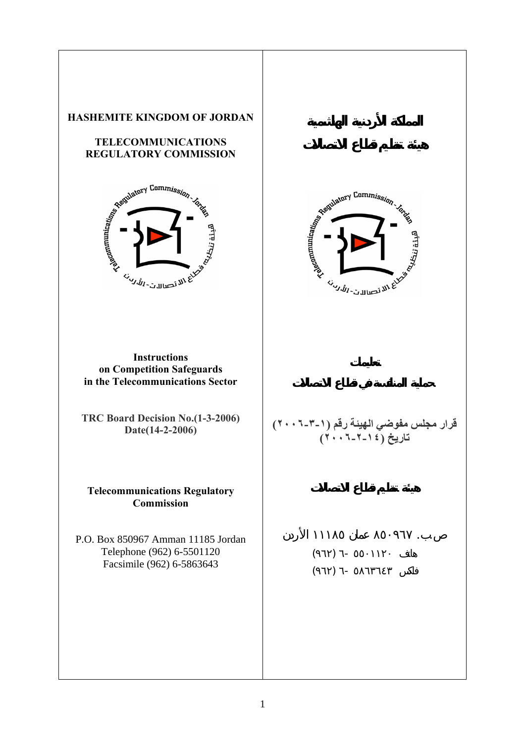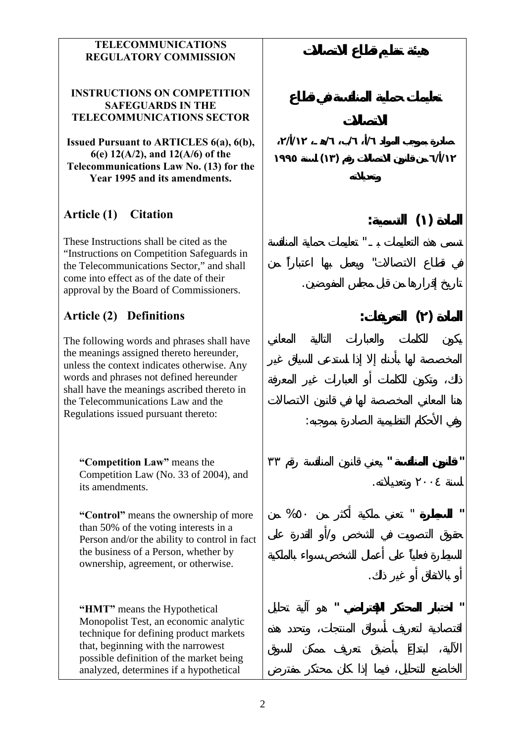#### **TELECOMMUNICATIONS REGULATORY COMMISSION**

#### **INSTRUCTIONS ON COMPETITION SAFEGUARDS IN THE TELECOMMUNICATIONS SECTOR**

**Issued Pursuant to ARTICLES 6(a), 6(b), 6(e) 12(A/2), and 12(A/6) of the Telecommunications Law No. (13) for the Year 1995 and its amendments.**

# **Article (1) Citation**

These Instructions shall be cited as the "Instructions on Competition Safeguards in the Telecommunications Sector," and shall come into effect as of the date of their approval by the Board of Commissioners.

# **Article (2) Definitions**

The following words and phrases shall have the meanings assigned thereto hereunder, unless the context indicates otherwise. Any words and phrases not defined hereunder shall have the meanings ascribed thereto in the Telecommunications Law and the Regulations issued pursuant thereto:

**"Competition Law"** means the Competition Law (No. 33 of 2004), and its amendments.

**"Control"** means the ownership of more than 50% of the voting interests in a Person and/or the ability to control in fact the business of a Person, whether by ownership, agreement, or otherwise.

**"HMT"** means the Hypothetical Monopolist Test, an economic analytic technique for defining product markets that, beginning with the narrowest possible definition of the market being analyzed, determines if a hypothetical

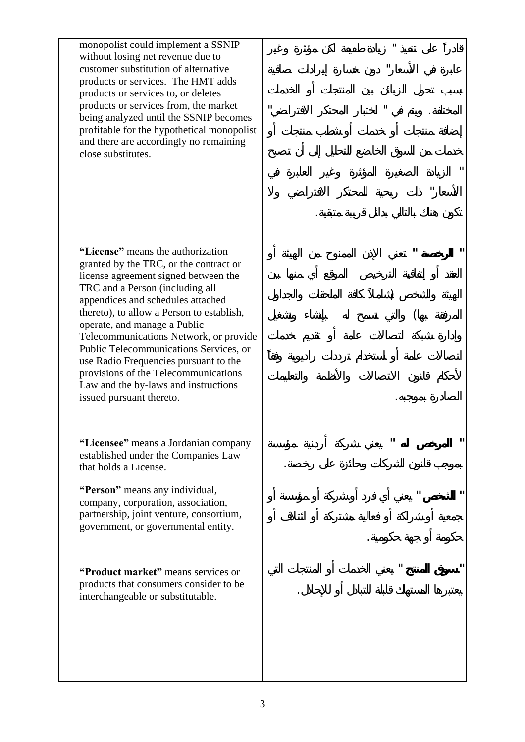monopolist could implement a SSNIP without losing net revenue due to customer substitution of alternative products or services. The HMT adds products or services to, or deletes products or services from, the market being analyzed until the SSNIP becomes profitable for the hypothetical monopolist and there are accordingly no remaining close substitutes.

قادر على تنفيذ " زيادة طفيفة لكن مؤثرة وغير

عابرة في الأسعار" دون خسارة إيرادات صافية

المختلفة. ويتم في " اختبار المحتكر الافتراضي"

" الزيادة الصغيرة المؤثرة وغير العابرة في

الأسعار" ذات ربحية للمحتكر الا تراضي ولا

**" الرخصة "** تعني الإذن الممنوح من الهيئة أو

 $\big)$ 

الصادرة بموجبه.

حكومة أو هة حكومية.

 $\left($ 

**" المرخص له "** يعني شركة أردنية مؤسسة

**" الشخص "** يعني أي فرد أو شركة أو مؤسسة أو

**" سوق المنتج** " يعني الخدمات أو المنتجات التي

يعتبرها المستهلك قابلة للتبادل أو للإحلال.

بموجب قانون الشركات حائزة على رخصة.

كون هناك بالتالي بدائل قريبة متبقية.

**"License"** means the authorization granted by the TRC, or the contract or license agreement signed between the TRC and a Person (including all appendices and schedules attached thereto), to allow a Person to establish, operate, and manage a Public Telecommunications Network, or provide Public Telecommunications Services, or use Radio Frequencies pursuant to the provisions of the Telecommunications Law and the by-laws and instructions issued pursuant thereto.

**"Licensee"** means a Jordanian company established under the Companies Law that holds a License.

**"Person"** means any individual, company, corporation, association, partnership, joint venture, consortium, government, or governmental entity.

**"Product market"** means services or products that consumers consider to be interchangeable or substitutable.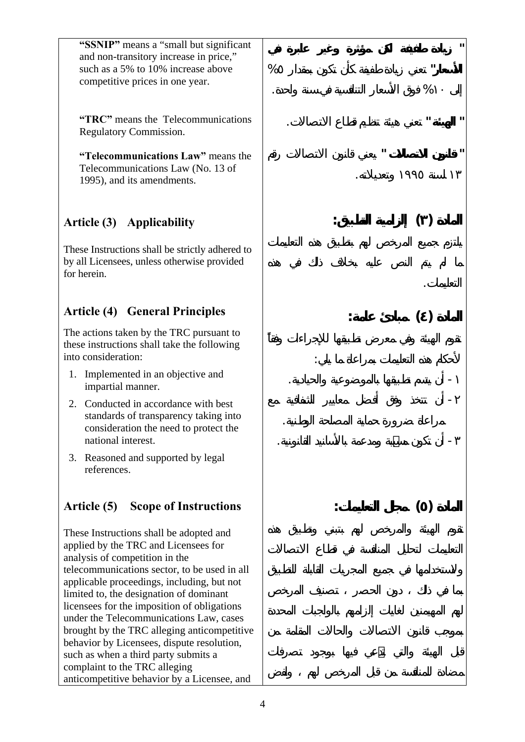**"SSNIP"** means a "small but significant and non-transitory increase in price," such as a 5% to 10% increase above competitive prices in one year.

**"TRC"** means the Telecommunications Regulatory Commission.

**"Telecommunications Law"** means the Telecommunications Law (No. 13 of 1995), and its amendments.

# **Article (3) Applicability**

These Instructions shall be strictly adhered to by all Licensees, unless otherwise provided for herein.

# **Article (4) General Principles**

The actions taken by the TRC pursuant to these instructions shall take the following into consideration:

- 1. Implemented in an objective and impartial manner.
- 2. Conducted in accordance with best standards of transparency taking into consideration the need to protect the national interest.
- 3. Reasoned and supported by legal references.

# **Article (5) Scope of Instructions**

These Instructions shall be adopted and applied by the TRC and Licensees for analysis of competition in the telecommunications sector, to be used in all applicable proceedings, including, but not limited to, the designation of dominant licensees for the imposition of obligations under the Telecommunications Law, cases brought by the TRC alleging anticompetitive behavior by Licensees, dispute resolution, such as when a third party submits a complaint to the TRC alleging anticompetitive behavior by a Licensee, and

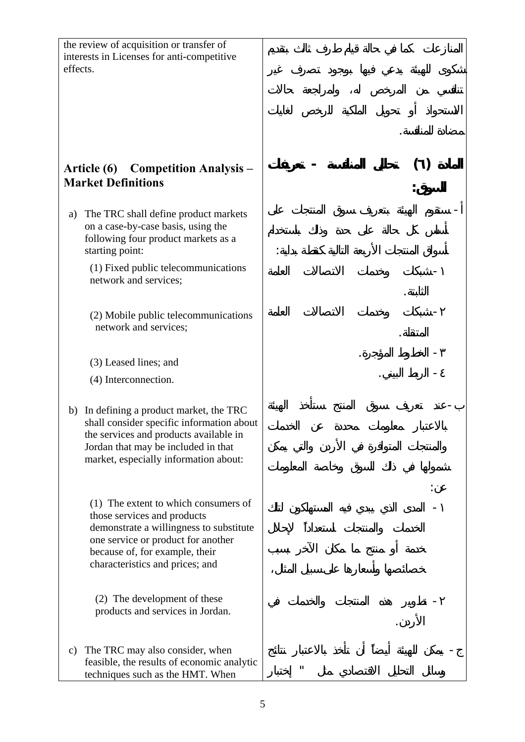| the review of acquisition or transfer of<br>interests in Licenses for anti-competitive<br>effects. |                                                                                                                                                                                                                           |   |  |
|----------------------------------------------------------------------------------------------------|---------------------------------------------------------------------------------------------------------------------------------------------------------------------------------------------------------------------------|---|--|
| <b>Competition Analysis –</b><br>Article (6)<br><b>Market Definitions</b>                          |                                                                                                                                                                                                                           |   |  |
| a)                                                                                                 | The TRC shall define product markets<br>on a case-by-case basis, using the<br>following four product markets as a<br>starting point:                                                                                      |   |  |
|                                                                                                    | (1) Fixed public telecommunications<br>network and services;                                                                                                                                                              |   |  |
|                                                                                                    | (2) Mobile public telecommunications<br>network and services;                                                                                                                                                             |   |  |
|                                                                                                    | (3) Leased lines; and                                                                                                                                                                                                     |   |  |
|                                                                                                    | (4) Interconnection.                                                                                                                                                                                                      |   |  |
| b)                                                                                                 | In defining a product market, the TRC<br>shall consider specific information about<br>the services and products available in<br>Jordan that may be included in that<br>market, especially information about:              |   |  |
|                                                                                                    | (1) The extent to which consumers of<br>those services and products<br>demonstrate a willingness to substitute<br>one service or product for another<br>because of, for example, their<br>characteristics and prices; and |   |  |
|                                                                                                    | (2) The development of these<br>products and services in Jordan.                                                                                                                                                          |   |  |
| $\mathbf{c})$                                                                                      | The TRC may also consider, when<br>feasible, the results of economic analytic<br>techniques such as the HMT. When                                                                                                         | п |  |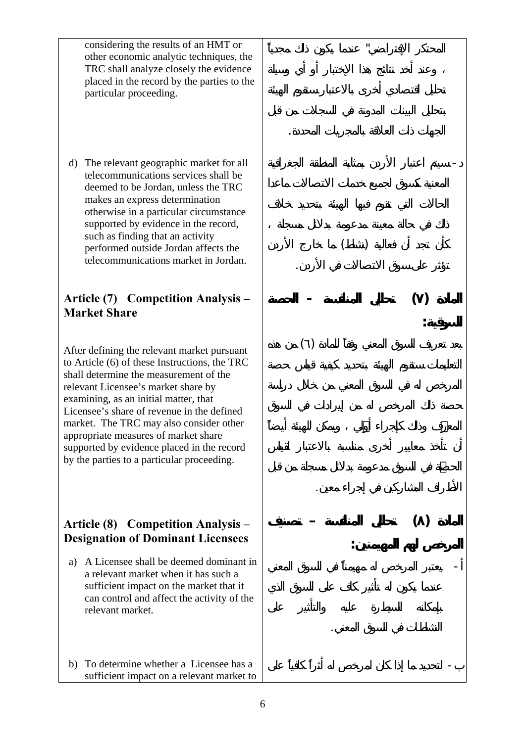considering the results of an HMT or other economic analytic techniques, the TRC shall analyze closely the evidence placed in the record by the parties to the particular proceeding.

d) The relevant geographic market for all telecommunications services shall be deemed to be Jordan, unless the TRC makes an express determination otherwise in a particular circumstance supported by evidence in the record, such as finding that an activity performed outside Jordan affects the telecommunications market in Jordan.

#### **Article (7) Competition Analysis – Market Share**

After defining the relevant market pursuant to Article (6) of these Instructions, the TRC shall determine the measurement of the relevant Licensee's market share by examining, as an initial matter, that Licensee's share of revenue in the defined market. The TRC may also consider other appropriate measures of market share supported by evidence placed in the record by the parties to a particular proceeding.

## **Article (8) Competition Analysis – Designation of Dominant Licensees**

- a) A Licensee shall be deemed dominant in a relevant market when it has such a sufficient impact on the market that it can control and affect the activity of the relevant market.
- b) To determine whether a Licensee has a sufficient impact on a relevant market to

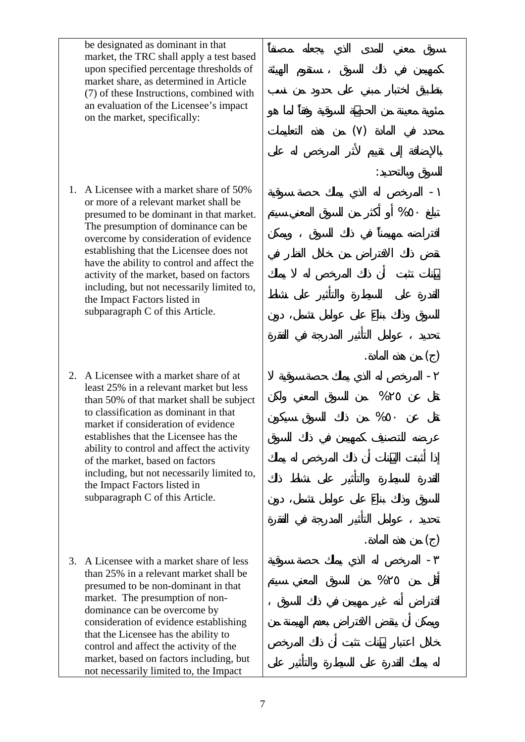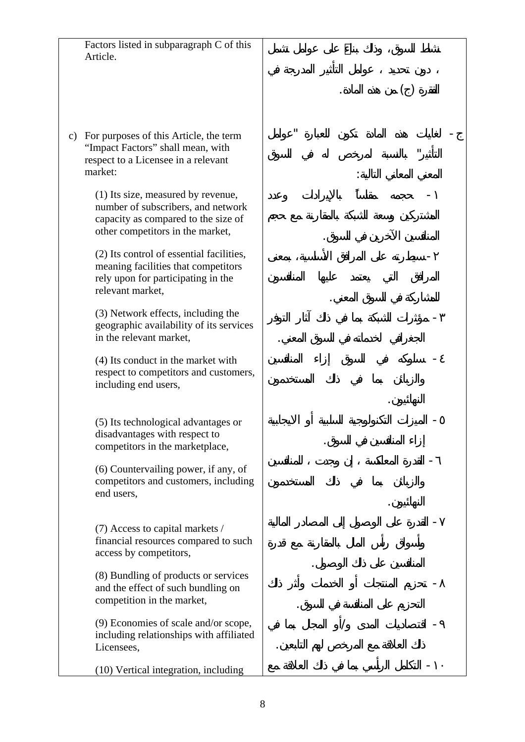Factors listed in subparagraph C of this Article.

 $( )$ 

المعني المعاني التالي :

المنافسين الآخرين في سوق.

للمشاركة في السوق المعني.

النهائي .

النهائي .

- لغايات هذه المادة تكون للعبارة "عوامل

التأثير" بال سبة لمرخص له في السوق

- حجمه بالإيرادات وعدد

- سيطرته على المرافق الأساسية، معنى

- مؤثرات الشبكة بما في ذلك آثار لتوفر

- سلوكه في السوق إزاء فسين

- الميزات التكنولوجية السلبية أو الايجابية

- القدرة المعاكسة إن وجدت للمنافسين

- القدرة على الوصول إلى المصادر المالية

- تحزيم المنتجات أو الخدمات وأثر لك

التحزيم على المنافسة في السوق.

- اقتصاديات المدى /أو المجال بما في

-١٠ التكام الرأسي بما في ذلك ال لاقة مع

ذلك العلاقة مع المرخص لهم التابعين.

لمنافسين على ذلك الوصول.

إزاء المنافسين في السوق.

الجغرافي لخدماته في سوق المعني.

c) For purposes of this Article, the term "Impact Factors" shall mean, with respect to a Licensee in a relevant market:

> (1) Its size, measured by revenue, number of subscribers, and network capacity as compared to the size of other competitors in the market,

(2) Its control of essential facilities, meaning facilities that competitors rely upon for participating in the relevant market,

(3) Network effects, including the geographic availability of its services in the relevant market,

(4) Its conduct in the market with respect to competitors and customers, including end users,

(5) Its technological advantages or disadvantages with respect to competitors in the marketplace,

(6) Countervailing power, if any, of competitors and customers, including end users,

(7) Access to capital markets / financial resources compared to such access by competitors,

(8) Bundling of products or services and the effect of such bundling on competition in the market,

(9) Economies of scale and/or scope, including relationships with affiliated Licensees,

(10) Vertical integration, including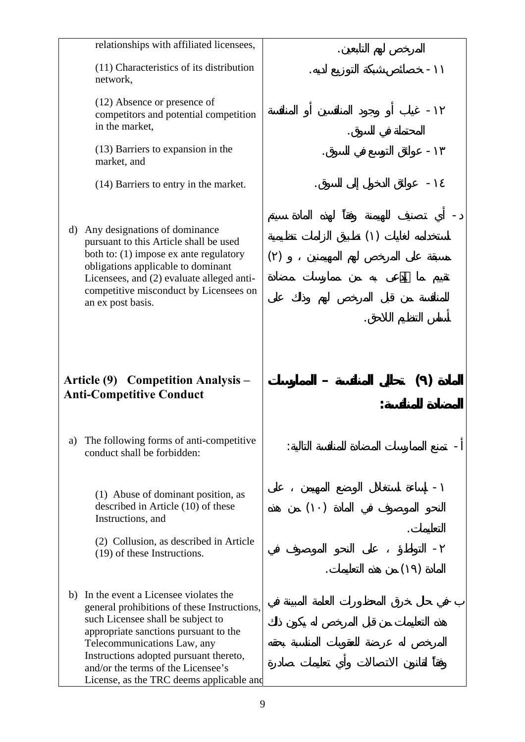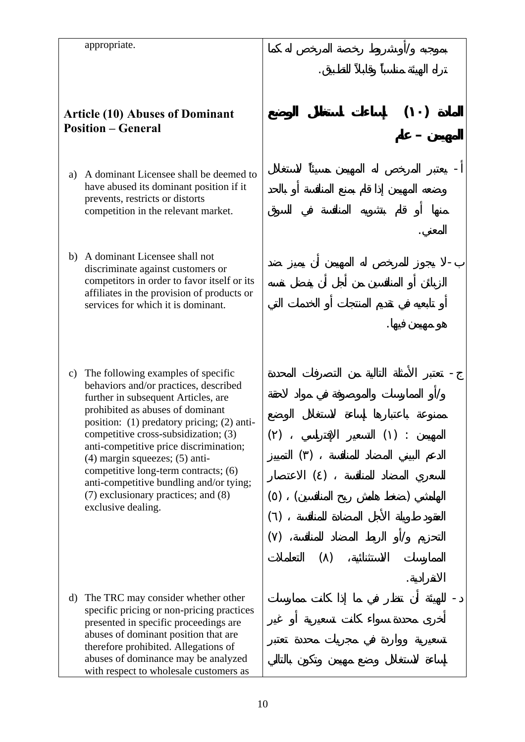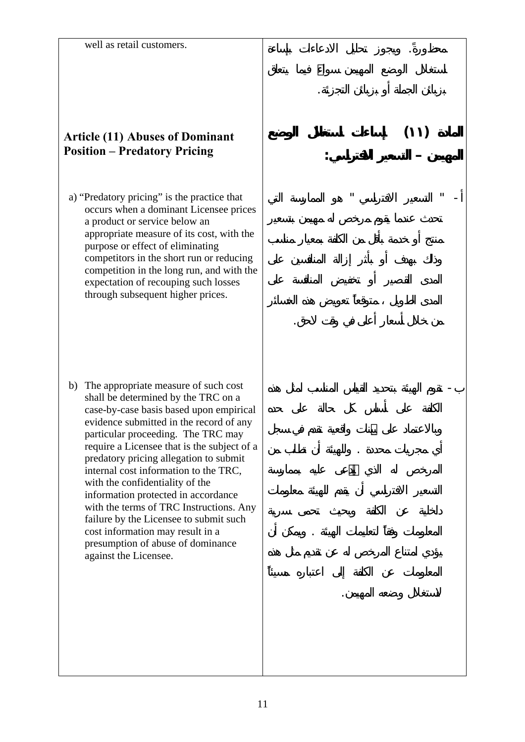محظور . ويجوز ليل الادعاءات بإساءة

بزبائن الجملة زبائن التجزئة.

**المهيمن – التسعير الافتراسي:** 

**المادة (١١) إساءات استغلال الوضع**

 $\mathbb{R}^n \rightarrow \mathbb{R}^n$  and  $\mathbb{R}^n$  and  $\mathbb{R}^n$  and  $\mathbb{R}^n$  and  $\mathbb{R}^n$  and  $\mathbb{R}^n$ 

من خلال أسعار أعلى في وقت لاحق.

- تقوم الهيئة بتحديد القياس المناسب لمثل هذه

أي مجريات محددة . وللهيئة أن طلب من

المعلومات لتعليمات الهيئة . ويمك أن

لاستغلال وضعه المهيمن.

#### **Article (11) Abuses of Dominant Position – Predatory Pricing**

a) "Predatory pricing" is the practice that occurs when a dominant Licensee prices a product or service below an appropriate measure of its cost, with the purpose or effect of eliminating competitors in the short run or reducing competition in the long run, and with the expectation of recouping such losses through subsequent higher prices.

b) The appropriate measure of such cost shall be determined by the TRC on a case-by-case basis based upon empirical evidence submitted in the record of any particular proceeding. The TRC may require a Licensee that is the subject of a predatory pricing allegation to submit internal cost information to the TRC, with the confidentiality of the information protected in accordance with the terms of TRC Instructions. Any failure by the Licensee to submit such cost information may result in a presumption of abuse of dominance against the Licensee.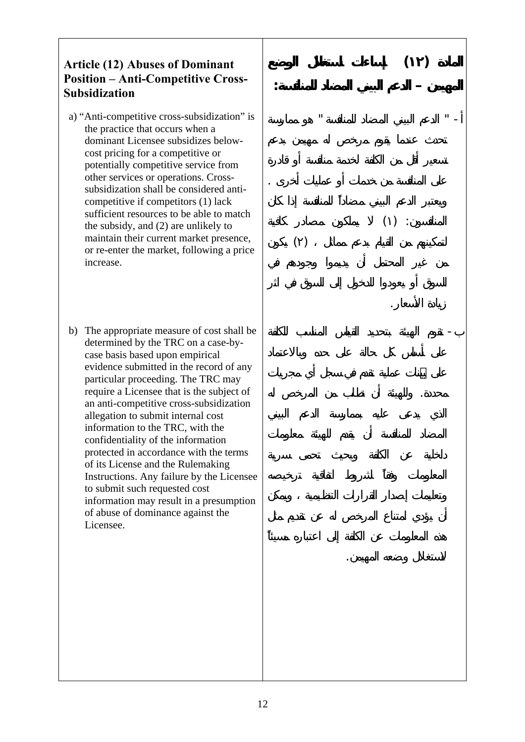#### **Article (12) Abuses of Dominant Position – Anti-Competitive Cross-Subsidization**

- a) "Anti-competitive cross-subsidization" is the practice that occurs when a dominant Licensee subsidizes belowcost pricing for a competitive or potentially competitive service from other services or operations. Crosssubsidization shall be considered anticompetitive if competitors (1) lack sufficient resources to be able to match the subsidy, and (2) are unlikely to maintain their current market presence, or re-enter the market, following a price increase.
- b) The appropriate measure of cost shall be determined by the TRC on a case-bycase basis based upon empirical evidence submitted in the record of any particular proceeding. The TRC may require a Licensee that is the subject of an anti-competitive cross-subsidization allegation to submit internal cost information to the TRC, with the confidentiality of the information protected in accordance with the terms of its License and the Rulemaking Instructions. Any failure by the Licensee to submit such requested cost information may result in a presumption of abuse of dominance against the Licensee.

**المادة (١٢) إساءات استغلال الوضع المهيمن – الدعم البيني المضاد للمنافسة:**   $-$  "  $-$  "  $-$  "  $-$  "  $-$  "  $-$  "  $-$  "  $-$  "  $-$  "  $-$  "  $-$  "  $-$  "  $-$  "  $-$  "  $-$  "  $-$  "  $-$  "  $-$  "  $-$  "  $-$  "  $-$  "  $-$  "  $-$  "  $-$  "  $-$  "  $-$  "  $-$  "  $-$  "  $-$  "  $-$  "  $-$  "  $-$  "  $-$  "  $-$  "  $-$  "  $-$  "  $-$  " على المنافسة من خدمات أو عمليات أخرى .  $()$  :  $\qquad \qquad ( \; )$ 

- تقوم الهيئة بتحديد القياس الم اسب للكلفة

محددة. ولل يئة أن طلب من المرخص له

لاستغلال وضعه المهيمن.

زيادة الأسعار.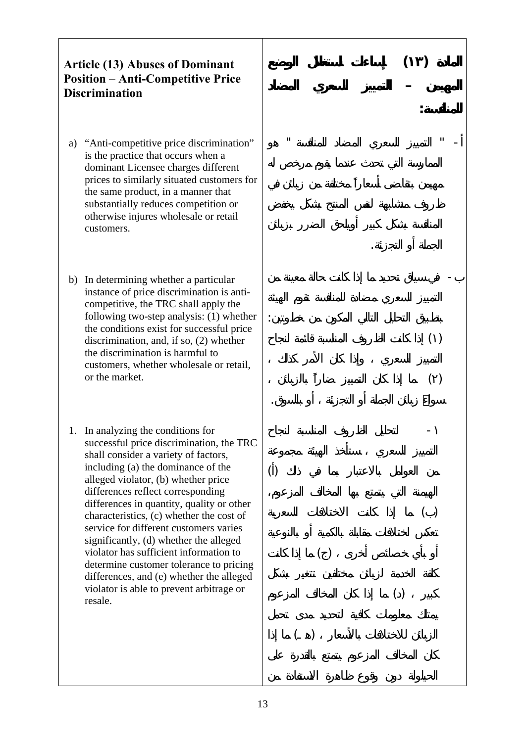## **Article (13) Abuses of Dominant Position – Anti-Competitive Price Discrimination**

- a) "Anti-competitive price discrimination" is the practice that occurs when a dominant Licensee charges different prices to similarly situated customers for the same product, in a manner that substantially reduces competition or otherwise injures wholesale or retail customers.
- b) In determining whether a particular instance of price discrimination is anticompetitive, the TRC shall apply the following two-step analysis: (1) whether the conditions exist for successful price discrimination, and, if so, (2) whether the discrimination is harmful to customers, whether wholesale or retail, or the market.
- 1. In analyzing the conditions for successful price discrimination, the TRC shall consider a variety of factors, including (a) the dominance of the alleged violator, (b) whether price differences reflect corresponding differences in quantity, quality or other characteristics, (c) whether the cost of service for different customers varies significantly, (d) whether the alleged violator has sufficient information to determine customer tolerance to pricing differences, and (e) whether the alleged violator is able to prevent arbitrage or resale.

**المادة (١٣) إساءات استغلال الوضع لمهيمن – التمييز لسعري المضاد للمنافسة:**   $-$  "  $-$  "  $-$  "  $-$  "  $-$  "  $-$  "  $-$  "  $-$  "  $-$  "  $-$  "  $-$  "  $-$  "  $-$  "  $-$  "  $-$  "  $-$  "  $-$  "  $-$  "  $-$  "  $-$  "  $-$  "  $-$  "  $-$  "  $-$  "  $-$  "  $-$  "  $-$  "  $-$  "  $-$  "  $-$  "  $-$  "  $-$  "  $-$  "  $-$  "  $-$  "  $-$  "  $-$  " الجملة أو التجزئة. - سياق تحديد ما إذا كانت حالة معينة من بتطبيق التحليل ال الي المكون من خطوتين:  $\begin{pmatrix} 1 & 1 & 1 \end{pmatrix}$ ( ) ما إذا كان التمييز بالزبائن زبائن الجملة أو التجزئة أو با سوق. - لت ليل الظروف المناسبة لنجاح  $\lambda$  ( )  $\begin{pmatrix} 0 & 1 & 0 & 0 \\ 0 & 0 & 0 & 0 \\ 0 & 0 & 0 & 0 \\ 0 & 0 & 0 & 0 \\ 0 & 0 & 0 & 0 \\ 0 & 0 & 0 & 0 \\ 0 & 0 & 0 & 0 \\ 0 & 0 & 0 & 0 \\ 0 & 0 & 0 & 0 \\ 0 & 0 & 0 & 0 \\ 0 & 0 & 0 & 0 & 0 \\ 0 & 0 & 0 & 0 & 0 \\ 0 & 0 & 0 & 0 & 0 \\ 0 & 0 & 0 & 0 & 0 & 0 \\ 0 & 0 & 0 & 0 & 0 & 0 \\ 0 & 0 & 0 & 0 &$ أو بأي خصائص أخرى ( ) ما إذا كانت  $\lambda$  $\begin{pmatrix} 1 & 1 & 1 \end{pmatrix}$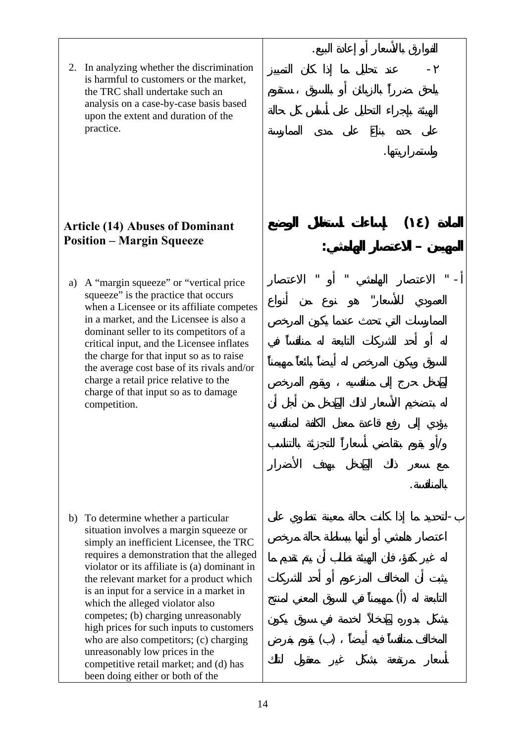2. In analyzing whether the discrimination is harmful to customers or the market, the TRC shall undertake such an analysis on a case-by-case basis based upon the extent and duration of the practice.

#### **Article (14) Abuses of Dominant Position – Margin Squeeze**

a) A "margin squeeze" or "vertical price squeeze" is the practice that occurs when a Licensee or its affiliate competes in a market, and the Licensee is also a dominant seller to its competitors of a critical input, and the Licensee inflates the charge for that input so as to raise the average cost base of its rivals and/or charge a retail price relative to the charge of that input so as to damage competition.

b) To determine whether a particular situation involves a margin squeeze or simply an inefficient Licensee, the TRC requires a demonstration that the alleged violator or its affiliate is (a) dominant in the relevant market for a product which is an input for a service in a market in which the alleged violator also competes; (b) charging unreasonably high prices for such inputs to customers who are also competitors; (c) charging unreasonably low prices in the competitive retail market; and (d) has been doing either or both of the

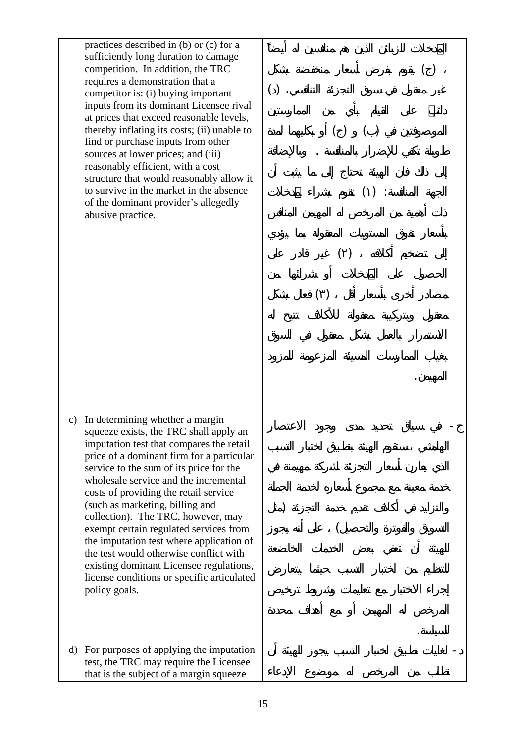practices described in (b) or (c) for a sufficiently long duration to damage competition. In addition, the TRC requires a demonstration that a competitor is: (i) buying important inputs from its dominant Licensee rival at prices that exceed reasonable levels, thereby inflating its costs; (ii) unable to find or purchase inputs from other sources at lower prices; and (iii) reasonably efficient, with a cost structure that would reasonably allow it to survive in the market in the absence of the dominant provider's allegedly abusive practice.

c) In determining whether a margin squeeze exists, the TRC shall apply an imputation test that compares the retail price of a dominant firm for a particular service to the sum of its price for the wholesale service and the incremental costs of providing the retail service (such as marketing, billing and collection). The TRC, however, may exempt certain regulated services from the imputation test where application of the test would otherwise conflict with existing dominant Licensee regulations, license conditions or specific articulated policy goals.

d) For purposes of applying the imputation test, the TRC may require the Licensee that is the subject of a margin squeeze



 $()$ 

طويلة تكفي للإضرار بال نافسة . وبالإضافة

 $()$  :

المهيمن.

للسياسة.

 $\begin{pmatrix} 1 & 1 & 1 & 1 \end{pmatrix}$ 

- في ياق تحديد مدى وجود الاع ار

والتزايد في أكلاف تقديم خدمة التجزئة (مثل

 $\left($ 

- لغ يات تطبيق ختبار لتسبب يجوز للهيئة أن

 $\begin{pmatrix} 1 & 1 & 1 \end{pmatrix}$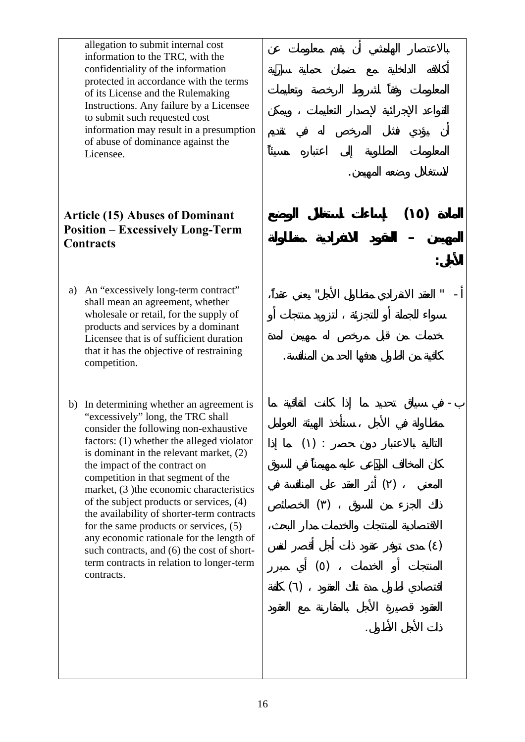allegation to submit internal cost information to the TRC, with the confidentiality of the information protected in accordance with the terms of its License and the Rulemaking Instructions. Any failure by a Licensee to submit such requested cost information may result in a presumption of abuse of dominance against the Licensee.

## **Article (15) Abuses of Dominant Position – Excessively Long-Term Contracts**

- a) An "excessively long-term contract" shall mean an agreement, whether wholesale or retail, for the supply of products and services by a dominant Licensee that is of sufficient duration that it has the objective of restraining competition.
- b) In determining whether an agreement is "excessively" long, the TRC shall consider the following non-exhaustive factors: (1) whether the alleged violator is dominant in the relevant market, (2) the impact of the contract on competition in that segment of the market, (3) the economic characteristics of the subject products or services, (4) the availability of shorter-term contracts for the same products or services, (5) any economic rationale for the length of such contracts, and (6) the cost of shortterm contracts in relation to longer-term contracts.

لاستغلال وضعه المهيمن. **المادة (١٥) إساءات استغلال الوضع المهيمن – العقود الانفرادية متط ولة الأجل:**   $-$  "  $-$  "  $-$  "  $-$  "  $-$  "  $-$  "  $-$  "  $-$  "  $-$  "  $-$  "  $-$  "  $-$  "  $-$  "  $-$  "  $-$  "  $-$  "  $-$  "  $-$  "  $-$  "  $-$  "  $-$  "  $-$  "  $-$  "  $-$  "  $-$  "  $-$  "  $-$  "  $-$  "  $-$  "  $-$  "  $-$  "  $-$  "  $-$  "  $-$  "  $-$  "  $-$  "  $-$  " كافية من الطول هدفها الحد من المنافسة. - سياق تحديد ما ذا كانت اتفاقية ما  $()$ :  $\begin{pmatrix} 1 & 1 & 1 \end{pmatrix}$  $\left( \begin{array}{c} \cdot \end{array} \right)$  $\begin{pmatrix} 0 & 0 & 0 \\ 0 & 0 & 0 \\ 0 & 0 & 0 \\ 0 & 0 & 0 \\ 0 & 0 & 0 \\ 0 & 0 & 0 \\ 0 & 0 & 0 \\ 0 & 0 & 0 \\ 0 & 0 & 0 \\ 0 & 0 & 0 \\ 0 & 0 & 0 & 0 \\ 0 & 0 & 0 & 0 \\ 0 & 0 & 0 & 0 \\ 0 & 0 & 0 & 0 & 0 \\ 0 & 0 & 0 & 0 & 0 \\ 0 & 0 & 0 & 0 & 0 \\ 0 & 0 & 0 & 0 & 0 & 0 \\ 0 & 0 & 0 & 0 & 0 & 0 \\ 0 & 0 &$  $\begin{pmatrix} 1 & 1 & 1 & 1 \end{pmatrix}$  $\begin{pmatrix} 1 & 1 & 1 \\ 1 & 1 & 1 \end{pmatrix}$ ذات الأجل طول.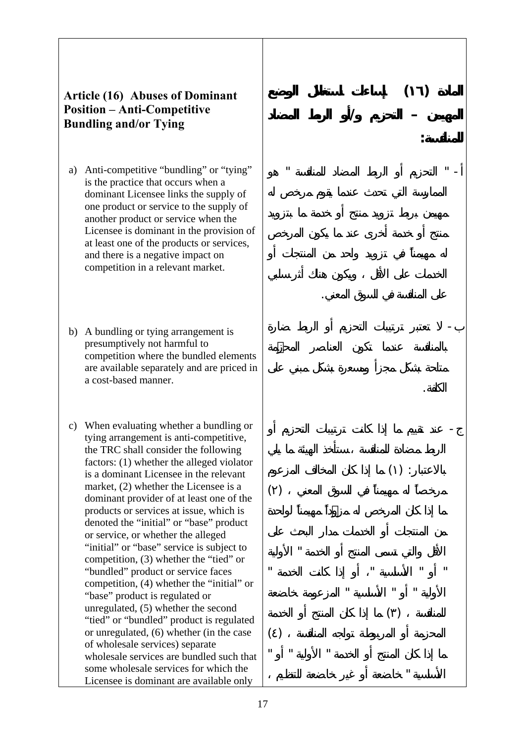#### **Article (16) Abuses of Dominant Position – Anti-Competitive Bundling and/or Tying**

- a) Anti-competitive "bundling" or "tying" is the practice that occurs when a dominant Licensee links the supply of one product or service to the supply of another product or service when the Licensee is dominant in the provision of at least one of the products or services, and there is a negative impact on competition in a relevant market.
- b) A bundling or tying arrangement is presumptively not harmful to competition where the bundled elements are available separately and are priced in a cost-based manner.
- c) When evaluating whether a bundling or tying arrangement is anti-competitive, the TRC shall consider the following factors: (1) whether the alleged violator is a dominant Licensee in the relevant market, (2) whether the Licensee is a dominant provider of at least one of the products or services at issue, which is denoted the "initial" or "base" product or service, or whether the alleged "initial" or "base" service is subject to competition, (3) whether the "tied" or "bundled" product or service faces competition, (4) whether the "initial" or "base" product is regulated or unregulated, (5) whether the second "tied" or "bundled" product is regulated or unregulated, (6) whether (in the case of wholesale services) separate wholesale services are bundled such that some wholesale services for which the Licensee is dominant are available only

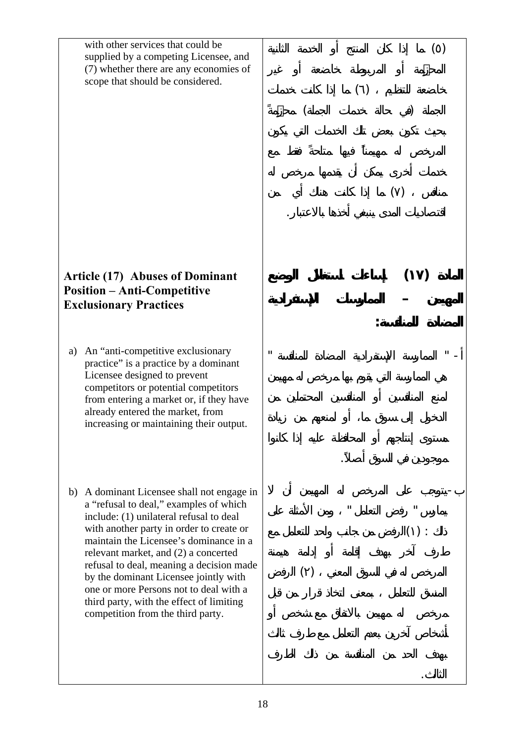with other services that could be supplied by a competing Licensee, and (7) whether there are any economies of scope that should be considered.

#### **Article (17) Abuses of Dominant Position – Anti-Competitive Exclusionary Practices**

- a) An "anti-competitive exclusionary practice" is a practice by a dominant Licensee designed to prevent competitors or potential competitors from entering a market or, if they have already entered the market, from increasing or maintaining their output.
- b) A dominant Licensee shall not engage in a "refusal to deal," examples of which include: (1) unilateral refusal to deal with another party in order to create or maintain the Licensee's dominance in a relevant market, and (2) a concerted refusal to deal, meaning a decision made by the dominant Licensee jointly with one or more Persons not to deal with a third party, with the effect of limiting competition from the third party.

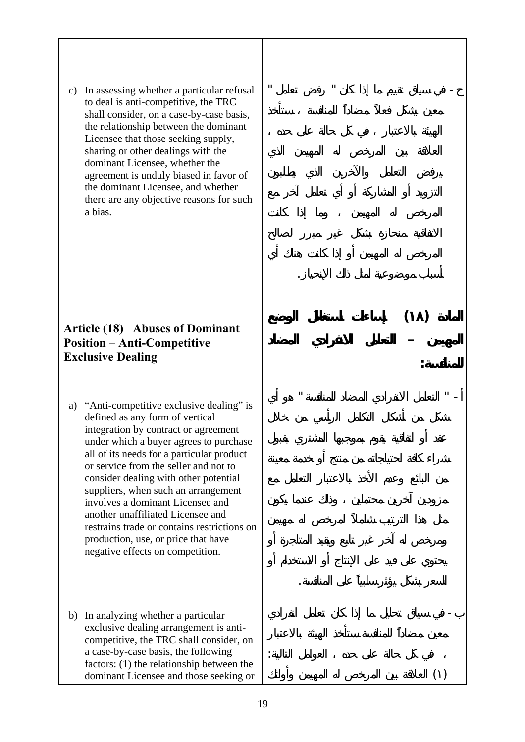c) In assessing whether a particular refusal to deal is anti-competitive, the TRC shall consider, on a case-by-case basis, the relationship between the dominant Licensee that those seeking supply, sharing or other dealings with the dominant Licensee, whether the agreement is unduly biased in favor of the dominant Licensee, and whether there are any objective reasons for such a bias.

- في سياق تقييم ما ذا كان " رفض تعامل "

أسباب موضوعية لمث لك الإ حياز.

**المادة (١٨) إساءات استغلال الوضع**

**المهيمن – لت مل الانفرادي المضاد**

 $-$  "  $-$  "  $-$  "  $-$  "  $-$  "  $-$ 

السعر بشكل يؤثر سلبي على المنافسة.

- في سياق تحليل ما ذا كان تعامل انفرادي

في كل حالة على حده العوامل التالية:

( ) العلاقة بين لمرخص له المهيمن وأولئك

**للمنافسة:** 

#### **Article (18) Abuses of Dominant Position – Anti-Competitive Exclusive Dealing**

- a) "Anti-competitive exclusive dealing" is defined as any form of vertical integration by contract or agreement under which a buyer agrees to purchase all of its needs for a particular product or service from the seller and not to consider dealing with other potential suppliers, when such an arrangement involves a dominant Licensee and another unaffiliated Licensee and restrains trade or contains restrictions on production, use, or price that have negative effects on competition.
- b) In analyzing whether a particular exclusive dealing arrangement is anticompetitive, the TRC shall consider, on a case-by-case basis, the following factors: (1) the relationship between the dominant Licensee and those seeking or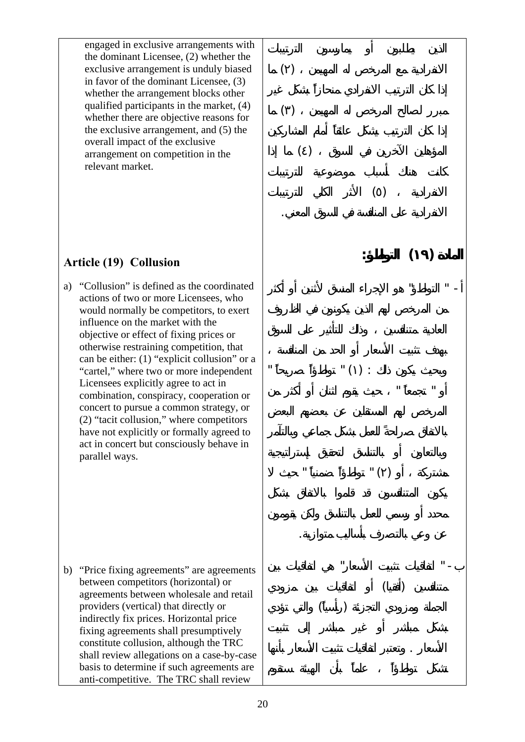engaged in exclusive arrangements with the dominant Licensee, (2) whether the exclusive arrangement is unduly biased in favor of the dominant Licensee, (3) whether the arrangement blocks other qualified participants in the market, (4) whether there are objective reasons for the exclusive arrangement, and (5) the overall impact of the exclusive arrangement on competition in the relevant market.

#### **Article (19) Collusion**

a) "Collusion" is defined as the coordinated actions of two or more Licensees, who would normally be competitors, to exert influence on the market with the objective or effect of fixing prices or otherwise restraining competition, that can be either: (1) "explicit collusion" or a "cartel," where two or more independent Licensees explicitly agree to act in combination, conspiracy, cooperation or concert to pursue a common strategy, or (2) "tacit collusion," where competitors have not explicitly or formally agreed to act in concert but consciously behave in parallel ways.

b) "Price fixing agreements" are agreements between competitors (horizontal) or agreements between wholesale and retail providers (vertical) that directly or indirectly fix prices. Horizontal price fixing agreements shall presumptively constitute collusion, although the TRC shall review allegations on a case-by-case basis to determine if such agreements are anti-competitive. The TRC shall review

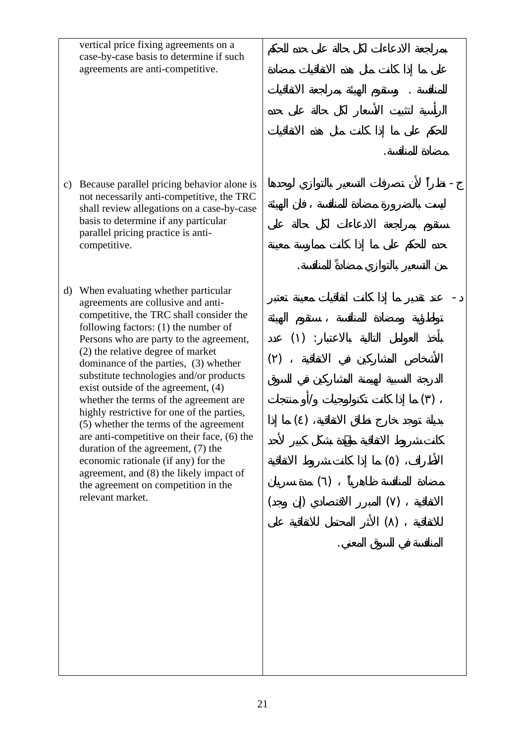|    | vertical price fixing agreements on a<br>case-by-case basis to determine if such<br>agreements are anti-competitive.                                                                                                                                                                                                                                                                                                    |     |        |     |     |  |
|----|-------------------------------------------------------------------------------------------------------------------------------------------------------------------------------------------------------------------------------------------------------------------------------------------------------------------------------------------------------------------------------------------------------------------------|-----|--------|-----|-----|--|
| c) | Because parallel pricing behavior alone is<br>not necessarily anti-competitive, the TRC<br>shall review allegations on a case-by-case<br>basis to determine if any particular<br>parallel pricing practice is anti-<br>competitive.                                                                                                                                                                                     |     |        |     |     |  |
|    | d) When evaluating whether particular<br>agreements are collusive and anti-<br>competitive, the TRC shall consider the<br>following factors: $(1)$ the number of<br>Persons who are party to the agreement,<br>(2) the relative degree of market<br>dominance of the parties, (3) whether<br>substitute technologies and/or products<br>exist outside of the agreement, $(4)$<br>whether the terms of the agreement are | ( ) | $()$ : |     |     |  |
|    | highly restrictive for one of the parties,<br>(5) whether the terms of the agreement<br>are anti-competitive on their face, (6) the<br>duration of the agreement, $(7)$ the<br>economic rationale (if any) for the<br>agreement, and (8) the likely impact of<br>the agreement on competition in the<br>relevant market.                                                                                                |     |        | ( ) | ( ) |  |
|    |                                                                                                                                                                                                                                                                                                                                                                                                                         |     |        |     |     |  |
|    |                                                                                                                                                                                                                                                                                                                                                                                                                         |     |        |     |     |  |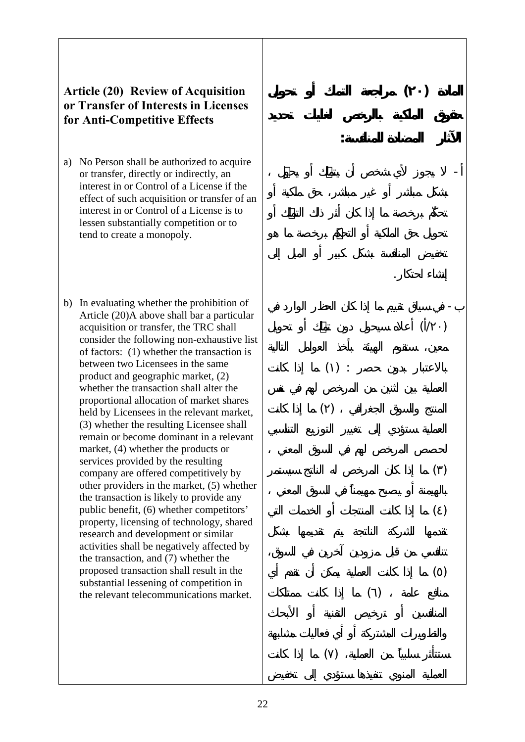#### **Article (20) Review of Acquisition or Transfer of Interests in Licenses for Anti-Competitive Effects**

- a) No Person shall be authorized to acquire or transfer, directly or indirectly, an interest in or Control of a License if the effect of such acquisition or transfer of an interest in or Control of a License is to lessen substantially competition or to tend to create a monopoly.
- b) In evaluating whether the prohibition of Article (20)A above shall bar a particular acquisition or transfer, the TRC shall consider the following non-exhaustive list of factors: (1) whether the transaction is between two Licensees in the same product and geographic market, (2) whether the transaction shall alter the proportional allocation of market shares held by Licensees in the relevant market, (3) whether the resulting Licensee shall remain or become dominant in a relevant market, (4) whether the products or services provided by the resulting company are offered competitively by other providers in the market, (5) whether the transaction is likely to provide any public benefit, (6) whether competitors' property, licensing of technology, shared research and development or similar activities shall be negatively affected by the transaction, and (7) whether the proposed transaction shall result in the substantial lessening of competition in the relevant telecommunications market.

- في سياق تقييم ما ذا ان الحظر الوارد في  $(1)$ 

إنشاء حتكار.

 $()$  :

**المادة (٢٠) مراجعة التملك أو تحويل**

**الآثار المضادة للمن فسة:** 

- يجوز لأي شخص أن أو

 $\begin{pmatrix} 1 & 1 & 1 \\ 0 & 0 & 0 \\ 0 & 0 & 0 \\ 0 & 0 & 0 \\ 0 & 0 & 0 \\ 0 & 0 & 0 \\ 0 & 0 & 0 \\ 0 & 0 & 0 \\ 0 & 0 & 0 \\ 0 & 0 & 0 \\ 0 & 0 & 0 & 0 \\ 0 & 0 & 0 & 0 \\ 0 & 0 & 0 & 0 \\ 0 & 0 & 0 & 0 & 0 \\ 0 & 0 & 0 & 0 & 0 \\ 0 & 0 & 0 & 0 & 0 \\ 0 & 0 & 0 & 0 & 0 & 0 \\ 0 & 0 & 0 & 0 & 0 & 0 \\ 0 & 0 &$ 

 $\begin{pmatrix} 1 & 0 & 0 \\ 0 & 0 & 0 \\ 0 & 0 & 0 \\ 0 & 0 & 0 \\ 0 & 0 & 0 \\ 0 & 0 & 0 \\ 0 & 0 & 0 \\ 0 & 0 & 0 \\ 0 & 0 & 0 \\ 0 & 0 & 0 \\ 0 & 0 & 0 & 0 \\ 0 & 0 & 0 & 0 \\ 0 & 0 & 0 & 0 \\ 0 & 0 & 0 & 0 & 0 \\ 0 & 0 & 0 & 0 & 0 \\ 0 & 0 & 0 & 0 & 0 \\ 0 & 0 & 0 & 0 & 0 & 0 \\ 0 & 0 & 0 & 0 & 0 & 0 \\ 0 & 0 &$ ( ) ما ذا كانت المنتجات أو الخدمات التي

( ) ما ذا كانت العملية يمكن أن تقدم أي

 $\begin{pmatrix} 1 & 0 & 0 \\ 0 & 0 & 0 \\ 0 & 0 & 0 \\ 0 & 0 & 0 \\ 0 & 0 & 0 \\ 0 & 0 & 0 \\ 0 & 0 & 0 \\ 0 & 0 & 0 \\ 0 & 0 & 0 & 0 \\ 0 & 0 & 0 & 0 \\ 0 & 0 & 0 & 0 \\ 0 & 0 & 0 & 0 \\ 0 & 0 & 0 & 0 & 0 \\ 0 & 0 & 0 & 0 & 0 \\ 0 & 0 & 0 & 0 & 0 & 0 \\ 0 & 0 & 0 & 0 & 0 & 0 \\ 0 & 0 & 0 & 0 & 0 & 0 \\ 0 & 0 & 0 &$ 

 $( \ )$ 

22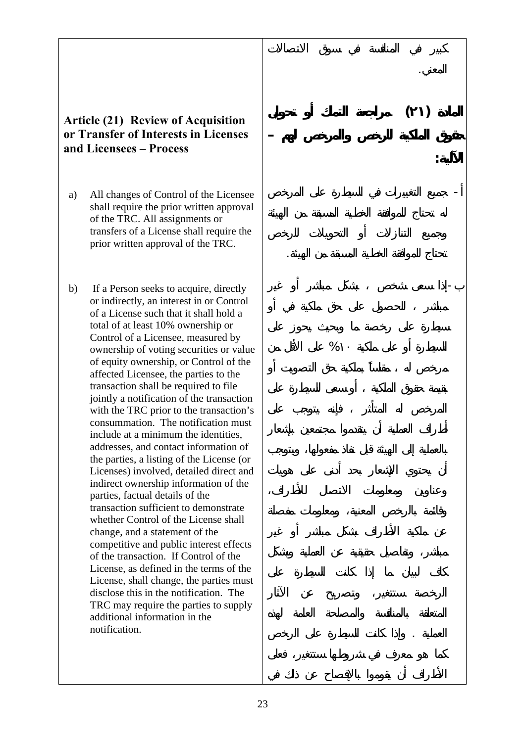#### **Article (21) Review of Acquisition or Transfer of Interests in Licenses and Licensees – Process**

- a) All changes of Control of the Licensee shall require the prior written approval of the TRC. All assignments or transfers of a License shall require the prior written approval of the TRC.
- b) If a Person seeks to acquire, directly or indirectly, an interest in or Control of a License such that it shall hold a total of at least 10% ownership or Control of a Licensee, measured by ownership of voting securities or value of equity ownership, or Control of the affected Licensee, the parties to the transaction shall be required to file jointly a notification of the transaction with the TRC prior to the transaction's consummation. The notification must include at a minimum the identities, addresses, and contact information of the parties, a listing of the License (or Licenses) involved, detailed direct and indirect ownership information of the parties, factual details of the transaction sufficient to demonstrate whether Control of the License shall change, and a statement of the competitive and public interest effects of the transaction. If Control of the License, as defined in the terms of the License, shall change, the parties must disclose this in the notification. The TRC may require the parties to supply additional information in the notification.

 $\%$ 

المعني.

**الآلية:** 

**المادة (٢١) مراجع التملك أو تحويل**

**حقوق الملكية لرخص والمرخص لهم –**

- جميع التغييرات في السيطرة على لمرخص

تحتاج للموافقة الخطية مسبقة من لهيئ .

مباشر للحصول على حق ملكية في أو-

العملية . وإذا كانت السيطرة على الرخص